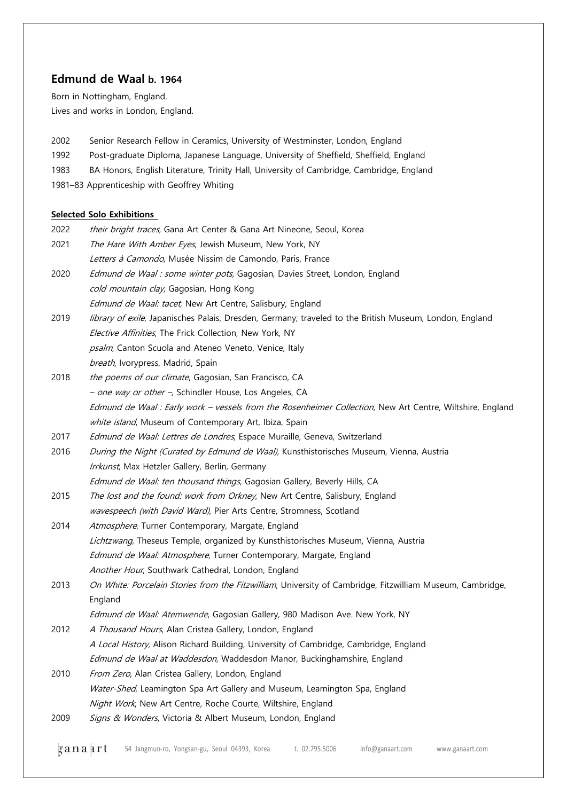# **Edmund de Waal b. 1964**

Born in Nottingham, England. Lives and works in London, England.

- 2002 Senior Research Fellow in Ceramics, University of Westminster, London, England
- 1992 Post-graduate Diploma, Japanese Language, University of Sheffield, Sheffield, England
- 1983 BA Honors, English Literature, Trinity Hall, University of Cambridge, Cambridge, England

1981–83 Apprenticeship with Geoffrey Whiting

## **Selected Solo Exhibitions**

**2 a n a a r l** 54 Jangmun-ro, Yongsan-gu, Seoul 04393, Korea t. 02.795.5006 info@ganaart.com www.ganaart.com 2022 their bright traces, Gana Art Center & Gana Art Nineone, Seoul, Korea 2021 The Hare With Amber Eyes, Jewish Museum, New York, NY Letters à Camondo, Musée Nissim de Camondo, Paris, France 2020 Edmund de Waal : some winter pots, Gagosian, Davies Street, London, England cold mountain clay, Gagosian, Hong Kong Edmund de Waal: tacet, New Art Centre, Salisbury, England 2019 *library of exile*, Japanisches Palais, Dresden, Germany; traveled to the British Museum, London, England Elective Affinities, The Frick Collection, New York, NY psalm, Canton Scuola and Ateneo Veneto, Venice, Italy breath, Ivorypress, Madrid, Spain 2018 the poems of our climate, Gagosian, San Francisco, CA – *one way or other –*, Schindler House, Los Angeles, CA Edmund de Waal : Early work - vessels from the Rosenheimer Collection, New Art Centre, Wiltshire, England white island, Museum of Contemporary Art, Ibiza, Spain 2017 Edmund de Waal: Lettres de Londres, Espace Muraille, Geneva, Switzerland 2016 During the Night (Curated by Edmund de Waal), Kunsthistorisches Museum, Vienna, Austria Irrkunst, Max Hetzler Gallery, Berlin, Germany Edmund de Waal: ten thousand things, Gagosian Gallery, Beverly Hills, CA 2015 The lost and the found: work from Orkney, New Art Centre, Salisbury, England wavespeech (with David Ward), Pier Arts Centre, Stromness, Scotland 2014 Atmosphere, Turner Contemporary, Margate, England Lichtzwang, Theseus Temple, organized by Kunsthistorisches Museum, Vienna, Austria Edmund de Waal: Atmosphere, Turner Contemporary, Margate, England Another Hour, Southwark Cathedral, London, England 2013 On White: Porcelain Stories from the Fitzwilliam, University of Cambridge, Fitzwilliam Museum, Cambridge, England Edmund de Waal: Atemwende, Gagosian Gallery, 980 Madison Ave. New York, NY 2012 A Thousand Hours, Alan Cristea Gallery, London, England A Local History, Alison Richard Building, University of Cambridge, Cambridge, England Edmund de Waal at Waddesdon, Waddesdon Manor, Buckinghamshire, England 2010 From Zero, Alan Cristea Gallery, London, England Water-Shed, Leamington Spa Art Gallery and Museum, Leamington Spa, England Night Work, New Art Centre, Roche Courte, Wiltshire, England 2009 Signs & Wonders, Victoria & Albert Museum, London, England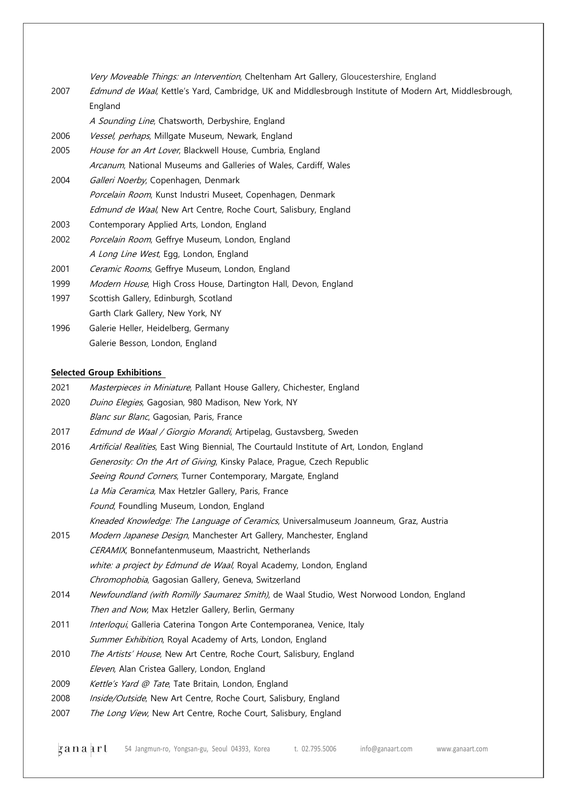Very Moveable Things: an Intervention, Cheltenham Art Gallery, Gloucestershire, England

| 2007 | Edmund de Waal, Kettle's Yard, Cambridge, UK and Middlesbrough Institute of Modern Art, Middlesbrough, |  |  |  |  |
|------|--------------------------------------------------------------------------------------------------------|--|--|--|--|
|      | England                                                                                                |  |  |  |  |
|      | A Sounding Line, Chatsworth, Derbyshire, England                                                       |  |  |  |  |
| 2006 | Vessel, perhaps, Millgate Museum, Newark, England                                                      |  |  |  |  |
| 2005 | House for an Art Lover, Blackwell House, Cumbria, England                                              |  |  |  |  |
|      | Arcanum, National Museums and Galleries of Wales, Cardiff, Wales                                       |  |  |  |  |
| 2004 | Galleri Noerby, Copenhagen, Denmark                                                                    |  |  |  |  |
|      | Porcelain Room, Kunst Industri Museet, Copenhagen, Denmark                                             |  |  |  |  |
|      | Edmund de Waal, New Art Centre, Roche Court, Salisbury, England                                        |  |  |  |  |
| 2003 | Contemporary Applied Arts, London, England                                                             |  |  |  |  |
| 2002 | Porcelain Room, Geffrye Museum, London, England                                                        |  |  |  |  |
|      | A Long Line West, Egg, London, England                                                                 |  |  |  |  |
| 2001 | Ceramic Rooms, Geffrye Museum, London, England                                                         |  |  |  |  |
| 1999 | Modern House, High Cross House, Dartington Hall, Devon, England                                        |  |  |  |  |
| 1997 | Scottish Gallery, Edinburgh, Scotland                                                                  |  |  |  |  |
|      | Garth Clark Gallery, New York, NY                                                                      |  |  |  |  |
| 1996 | Galerie Heller, Heidelberg, Germany                                                                    |  |  |  |  |
|      | Galerie Besson, London, England                                                                        |  |  |  |  |

#### **Selected Group Exhibitions**

| 2021 | Masterpieces in Miniature, Pallant House Gallery, Chichester, England |  |  |  |  |  |  |
|------|-----------------------------------------------------------------------|--|--|--|--|--|--|
|------|-----------------------------------------------------------------------|--|--|--|--|--|--|

- 2020 Duino Elegies, Gagosian, 980 Madison, New York, NY
- Blanc sur Blanc, Gagosian, Paris, France
- 2017 Edmund de Waal / Giorgio Morandi, Artipelag, Gustavsberg, Sweden
- 2016 Artificial Realities, East Wing Biennial, The Courtauld Institute of Art, London, England Generosity: On the Art of Giving, Kinsky Palace, Prague, Czech Republic Seeing Round Corners, Turner Contemporary, Margate, England La Mia Ceramica, Max Hetzler Gallery, Paris, France Found, Foundling Museum, London, England Kneaded Knowledge: The Language of Ceramics, Universalmuseum Joanneum, Graz, Austria
- 2015 Modern Japanese Design, Manchester Art Gallery, Manchester, England CERAMIX, Bonnefantenmuseum, Maastricht, Netherlands white: a project by Edmund de Waal, Royal Academy, London, England Chromophobia, Gagosian Gallery, Geneva, Switzerland
- 2014 Newfoundland (with Romilly Saumarez Smith), de Waal Studio, West Norwood London, England Then and Now, Max Hetzler Gallery, Berlin, Germany
- 2011 *Interloqui*, Galleria Caterina Tongon Arte Contemporanea, Venice, Italy Summer Exhibition, Royal Academy of Arts, London, England
- 2010 The Artists' House, New Art Centre, Roche Court, Salisbury, England Eleven, Alan Cristea Gallery, London, England
- 2009 Kettle's Yard @ Tate, Tate Britain, London, England
- 2008 Inside/Outside, New Art Centre, Roche Court, Salisbury, England
- 2007 The Long View, New Art Centre, Roche Court, Salisbury, England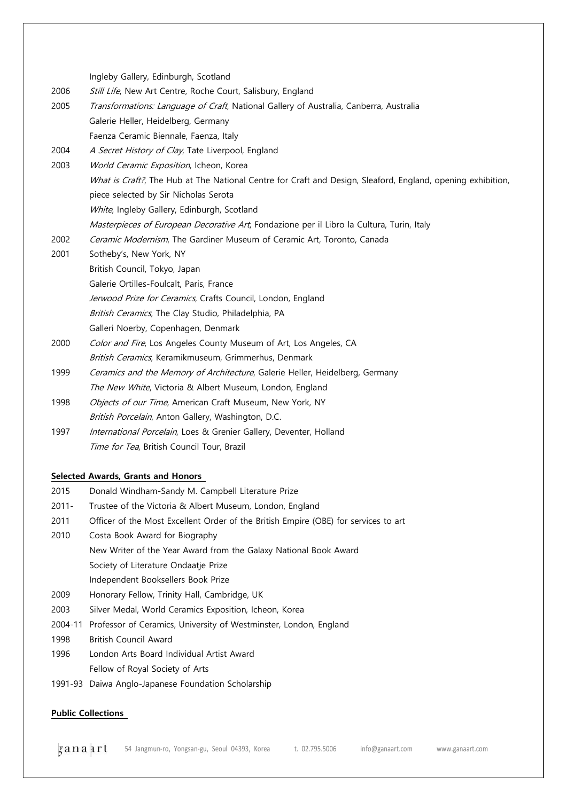Ingleby Gallery, Edinburgh, Scotland

- 2006 Still Life, New Art Centre, Roche Court, Salisbury, England
- 2005 Transformations: Language of Craft, National Gallery of Australia, Canberra, Australia Galerie Heller, Heidelberg, Germany Faenza Ceramic Biennale, Faenza, Italy
- 2004 A Secret History of Clay, Tate Liverpool, England
- 2003 World Ceramic Exposition, Icheon, Korea What is Craft?, The Hub at The National Centre for Craft and Design, Sleaford, England, opening exhibition, piece selected by Sir Nicholas Serota White, Ingleby Gallery, Edinburgh, Scotland Masterpieces of European Decorative Art, Fondazione per il Libro la Cultura, Turin, Italy
- 2002 Ceramic Modernism, The Gardiner Museum of Ceramic Art, Toronto, Canada
- 2001 Sotheby's, New York, NY British Council, Tokyo, Japan Galerie Ortilles-Foulcalt, Paris, France Jerwood Prize for Ceramics, Crafts Council, London, England British Ceramics, The Clay Studio, Philadelphia, PA Galleri Noerby, Copenhagen, Denmark
- 2000 Color and Fire, Los Angeles County Museum of Art, Los Angeles, CA British Ceramics, Keramikmuseum, Grimmerhus, Denmark
- 1999 Ceramics and the Memory of Architecture, Galerie Heller, Heidelberg, Germany The New White, Victoria & Albert Museum, London, England
- 1998 *Objects of our Time*, American Craft Museum, New York, NY
- British Porcelain, Anton Gallery, Washington, D.C.
- 1997 International Porcelain, Loes & Grenier Gallery, Deventer, Holland Time for Tea, British Council Tour, Brazil

## **Selected Awards, Grants and Honors**

- 2015 Donald Windham-Sandy M. Campbell Literature Prize
- 2011- Trustee of the Victoria & Albert Museum, London, England
- 2011 Officer of the Most Excellent Order of the British Empire (OBE) for services to art
- 2010 Costa Book Award for Biography
	- New Writer of the Year Award from the Galaxy National Book Award
		- Society of Literature Ondaatje Prize
	- Independent Booksellers Book Prize
- 2009 Honorary Fellow, Trinity Hall, Cambridge, UK
- 2003 Silver Medal, World Ceramics Exposition, Icheon, Korea
- 2004-11 Professor of Ceramics, University of Westminster, London, England
- 1998 British Council Award
- 1996 London Arts Board Individual Artist Award Fellow of Royal Society of Arts
- 1991-93 Daiwa Anglo-Japanese Foundation Scholarship

## **Public Collections**